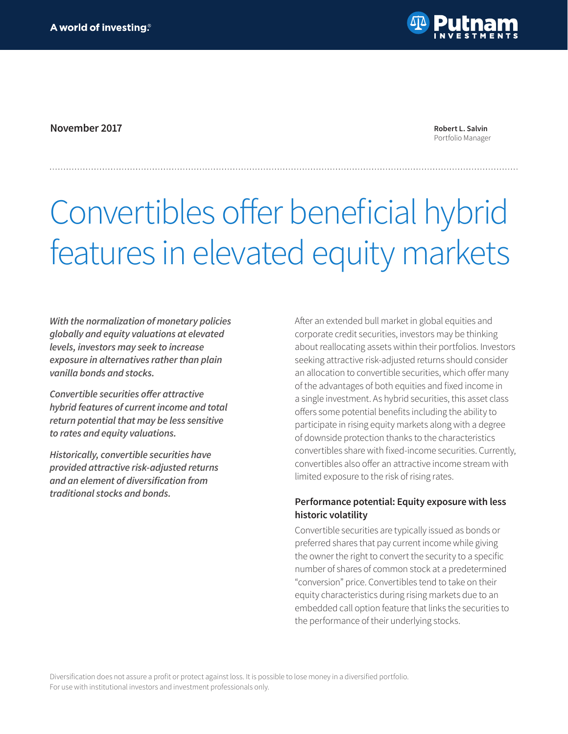

**November 2017 Robert L. Salvin**

Portfolio Manager

# Convertibles offer beneficial hybrid features in elevated equity markets

*With the normalization of monetary policies globally and equity valuations at elevated levels, investors may seek to increase exposure in alternatives rather than plain vanilla bonds and stocks.*

**Convertible securities offer attractive**  *hybrid features of current income and total return potential that may be less sensitive to rates and equity valuations.* 

*Historically, convertible securities have provided attractive risk-adjusted returns*  **and an element of diversification from**  *traditional stocks and bonds.*

After an extended bull market in global equities and corporate credit securities, investors may be thinking about reallocating assets within their portfolios. Investors seeking attractive risk-adjusted returns should consider an allocation to convertible securities, which offer many of the advantages of both equities and fixed income in a single investment. As hybrid securities, this asset class offers some potential benefits including the ability to participate in rising equity markets along with a degree of downside protection thanks to the characteristics convertibles share with fixed-income securities. Currently, convertibles also offer an attractive income stream with limited exposure to the risk of rising rates.

## **Performance potential: Equity exposure with less historic volatility**

Convertible securities are typically issued as bonds or preferred shares that pay current income while giving the owner the right to convert the security to a specific number of shares of common stock at a predetermined "conversion" price. Convertibles tend to take on their equity characteristics during rising markets due to an embedded call option feature that links the securities to the performance of their underlying stocks.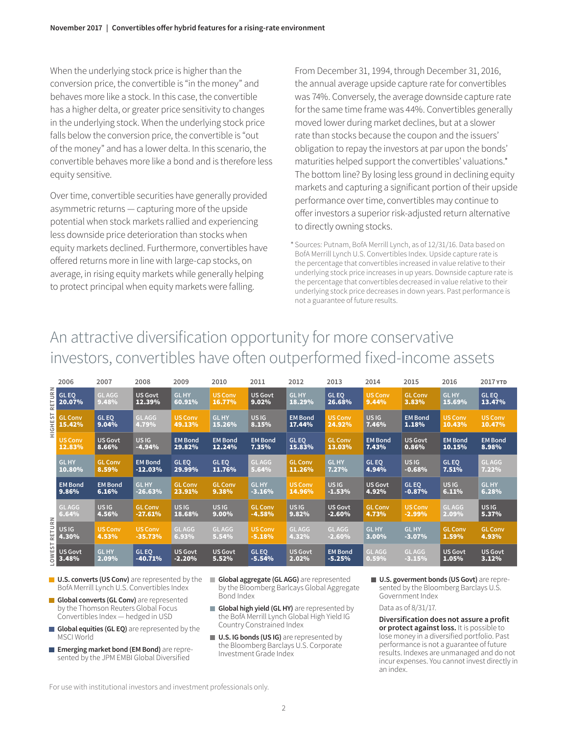When the underlying stock price is higher than the conversion price, the convertible is "in the money" and behaves more like a stock. In this case, the convertible has a higher delta, or greater price sensitivity to changes in the underlying stock. When the underlying stock price falls below the conversion price, the convertible is "out of the money" and has a lower delta. In this scenario, the convertible behaves more like a bond and is therefore less equity sensitive.

Over time, convertible securities have generally provided asymmetric returns — capturing more of the upside potential when stock markets rallied and experiencing less downside price deterioration than stocks when equity markets declined. Furthermore, convertibles have offered returns more in line with large-cap stocks, on average, in rising equity markets while generally helping to protect principal when equity markets were falling.

From December 31, 1994, through December 31, 2016, the annual average upside capture rate for convertibles was 74%. Conversely, the average downside capture rate for the same time frame was 44%. Convertibles generally moved lower during market declines, but at a slower rate than stocks because the coupon and the issuers' obligation to repay the investors at par upon the bonds' maturities helped support the convertibles' valuations.\* The bottom line? By losing less ground in declining equity markets and capturing a significant portion of their upside performance over time, convertibles may continue to offer investors a superior risk-adjusted return alternative to directly owning stocks.

Sources: Putnam, BofA Merrill Lynch, as of 12/31/16. Data based on 1 BofA Merrill Lynch U.S. Convertibles Index. Upside capture rate is the percentage that convertibles increased in value relative to their underlying stock price increases in up years. Downside capture rate is the percentage that convertibles decreased in value relative to their underlying stock price decreases in down years. Past performance is not a guarantee of future results.

# An attractive diversification opportunity for more conservative investors, convertibles have often outperformed fixed-income assets

| URN<br>늡<br>$\simeq$<br>57<br>I<br>Ξ<br>Ε          | 2006                     | 2007                    | 2008                         | 2009                       | 2010                     | 2011                       | 2012                      | 2013                         | 2014                    | 2015                         | 2016                      | 2017 YTD                  |
|----------------------------------------------------|--------------------------|-------------------------|------------------------------|----------------------------|--------------------------|----------------------------|---------------------------|------------------------------|-------------------------|------------------------------|---------------------------|---------------------------|
|                                                    | <b>GLEQ</b><br>$20.07\%$ | <b>GLAGG</b><br>9.48%   | <b>US Govt</b><br>12.39%     | <b>GLHY</b><br>60.91%      | <b>US Conv</b><br>16.77% | <b>US Govt</b><br>9.02%    | <b>GLHY</b><br>18.29%     | <b>GLEO</b><br>26.68%        | <b>US Conv</b><br>9.44% | <b>GL Conv</b><br>3.83%      | <b>GLHY</b><br>15.69%     | <b>GLEO</b><br>13.47%     |
|                                                    | <b>GL Conv</b><br>15.42% | GL EQ<br>9.04%          | <b>GLAGG</b><br>4.79%        | <b>US Conv</b><br>49.13%   | <b>GLHY</b><br>15.26%    | US <sub>IG</sub><br>8.15%  | <b>EM Bond</b><br>17.44%  | <b>US Conv</b><br>24.92%     | <b>USIG</b><br>7.46%    | <b>EM Bond</b><br>1.18%      | <b>US Conv</b><br>10.43%  | <b>US Conv</b><br>10.47%  |
|                                                    | US Conv<br>12.83%        | <b>US Govt</b><br>8.66% | US <sub>IG</sub><br>$-4.94%$ | <b>EM Bond</b><br>29.82%   | <b>EM Bond</b><br>12.24% | <b>EM Bond</b><br>7.35%    | GL EQ<br>15.83%           | <b>GL Conv</b><br>13.03%     | <b>EM Bond</b><br>7.43% | <b>US Govt</b><br>0.86%      | <b>EM Bond</b><br>10.15%  | <b>EM Bond</b><br>8.98%   |
|                                                    | <b>GLHY</b><br>10.80%    | <b>GL Conv</b><br>8.59% | <b>EM Bond</b><br>$-12.03%$  | <b>GLEO</b><br>29.99%      | <b>GLEO</b><br>11.76%    | <b>GLAGG</b><br>5.64%      | <b>GL Conv</b><br>11.26%  | <b>GLHY</b><br>7.27%         | <b>GLEO</b><br>4.94%    | US <sub>IG</sub><br>$-0.68%$ | <b>GLEO</b><br>7.51%      | <b>GLAGG</b><br>7.22%     |
| $\mathbb{R}^{\mathbb{N}}$<br>RETUI<br><b>OWEST</b> | <b>EM Bond</b><br>9.86%  | <b>EM Bond</b><br>6.16% | <b>GLHY</b><br>$-26.63%$     | <b>GL Conv</b><br>23.91%   | <b>GL Conv</b><br>9.38%  | <b>GLHY</b><br>$-3.16%$    | <b>US Conv</b><br>14.96%  | US <sub>IG</sub><br>$-1.53%$ | <b>US Govt</b><br>4.92% | <b>GLEO</b><br>$-0.87%$      | US <sub>IG</sub><br>6.11% | <b>GLHY</b><br>6.28%      |
|                                                    | <b>GLAGG</b><br>6.64%    | US IG<br>4.56%          | <b>GL Conv</b><br>$-27.61%$  | <b>USIG</b><br>18.68%      | US IG<br>$9.00\%$        | <b>GL Conv</b><br>$-4.58%$ | US <sub>IG</sub><br>9.82% | <b>US Govt</b><br>$-2.60%$   | <b>GL Conv</b><br>4.73% | <b>US Conv</b><br>$-2.99%$   | <b>GLAGG</b><br>2.09%     | US <sub>IG</sub><br>5.37% |
|                                                    | US IG<br>4.30%           | <b>US Conv</b><br>4.53% | <b>US Conv</b><br>$-35.73%$  | <b>GLAGG</b><br>6.93%      | <b>GLAGG</b><br>5.54%    | <b>US Conv</b><br>-5.18%   | <b>GLAGG</b><br>4.32%     | <b>GLAGG</b><br>$-2.60%$     | <b>GLHY</b><br>$3.00\%$ | <b>GLHY</b><br>$-3.07%$      | <b>GL Conv</b><br>1.59%   | <b>GL Conv</b><br>4.93%   |
|                                                    | <b>US Govt</b><br>3.48%  | <b>GLHY</b><br>2.09%    | <b>GLEO</b><br>$-40.71%$     | <b>US Govt</b><br>$-2.20%$ | <b>US Govt</b><br>5.52%  | GL EQ<br>$-5.54%$          | <b>US Govt</b><br>2.02%   | <b>EM Bond</b><br>$-5.25%$   | <b>GLAGG</b><br>0.59%   | <b>GLAGG</b><br>$-3.15%$     | <b>US Govt</b><br>1.05%   | <b>US Govt</b><br>3.12%   |

- **U.S. converts (US Conv)** are represented by the BofA Merrill Lynch U.S. Convertibles Index
- **Global converts (GL Conv)** are represented by the Thomson Reuters Global Focus Convertibles Index — hedged in USD
- **Global equities (GL EQ)** are represented by the MSCI World
- **Emerging market bond (EM Bond)** are represented by the JPM EMBI Global Diversified
- **Global aggregate (GL AGG)** are represented by the Bloomberg Barlcays Global Aggregate Bond Index
- **Global high yield (GL HY)** are represented by the BofA Merrill Lynch Global High Yield IG Country Constrained Index
- **U.S. IG bonds (US IG)** are represented by the Bloomberg Barclays U.S. Corporate Investment Grade Index
- **U.S. goverment bonds (US Govt)** are represented by the Bloomberg Barclays U.S. Government Index

Data as of 8/31/17.

**Diversification does not assure a profit or protect against loss.** It is possible to lose money in a diversified portfolio. Past performance is not a guarantee of future results. Indexes are unmanaged and do not incur expenses. You cannot invest directly in an index.

For use with institutional investors and investment professionals only.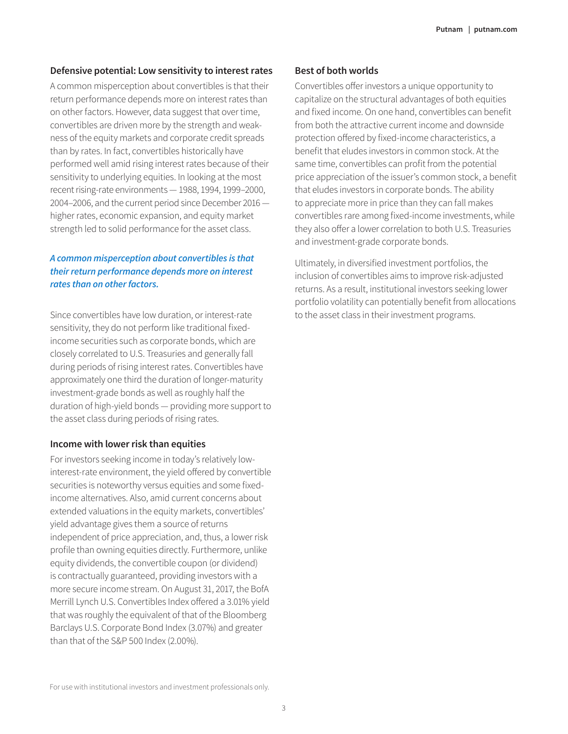#### **Defensive potential: Low sensitivity to interest rates**

A common misperception about convertibles is that their return performance depends more on interest rates than on other factors. However, data suggest that over time, convertibles are driven more by the strength and weakness of the equity markets and corporate credit spreads than by rates. In fact, convertibles historically have performed well amid rising interest rates because of their sensitivity to underlying equities. In looking at the most recent rising-rate environments — 1988, 1994, 1999–2000, 2004–2006, and the current period since December 2016 higher rates, economic expansion, and equity market strength led to solid performance for the asset class.

### *A common misperception about convertibles is that their return performance depends more on interest rates than on other factors.*

Since convertibles have low duration, or interest-rate sensitivity, they do not perform like traditional fixedincome securities such as corporate bonds, which are closely correlated to U.S. Treasuries and generally fall during periods of rising interest rates. Convertibles have approximately one third the duration of longer-maturity investment-grade bonds as well as roughly half the duration of high-yield bonds — providing more support to the asset class during periods of rising rates.

#### **Income with lower risk than equities**

For investors seeking income in today's relatively lowinterest-rate environment, the yield offered by convertible securities is noteworthy versus equities and some fixedincome alternatives. Also, amid current concerns about extended valuations in the equity markets, convertibles' yield advantage gives them a source of returns independent of price appreciation, and, thus, a lower risk profile than owning equities directly. Furthermore, unlike equity dividends, the convertible coupon (or dividend) is contractually guaranteed, providing investors with a more secure income stream. On August 31, 2017, the BofA Merrill Lynch U.S. Convertibles Index offered a 3.01% yield that was roughly the equivalent of that of the Bloomberg Barclays U.S. Corporate Bond Index (3.07%) and greater than that of the S&P 500 Index (2.00%).

### **Best of both worlds**

Convertibles offer investors a unique opportunity to capitalize on the structural advantages of both equities and fixed income. On one hand, convertibles can benefit from both the attractive current income and downside protection offered by fixed-income characteristics, a benefit that eludes investors in common stock. At the same time, convertibles can profit from the potential price appreciation of the issuer's common stock, a benefit that eludes investors in corporate bonds. The ability to appreciate more in price than they can fall makes convertibles rare among fixed-income investments, while they also offer a lower correlation to both U.S. Treasuries and investment-grade corporate bonds.

Ultimately, in diversified investment portfolios, the inclusion of convertibles aims to improve risk-adjusted returns. As a result, institutional investors seeking lower portfolio volatility can potentially benefit from allocations to the asset class in their investment programs.